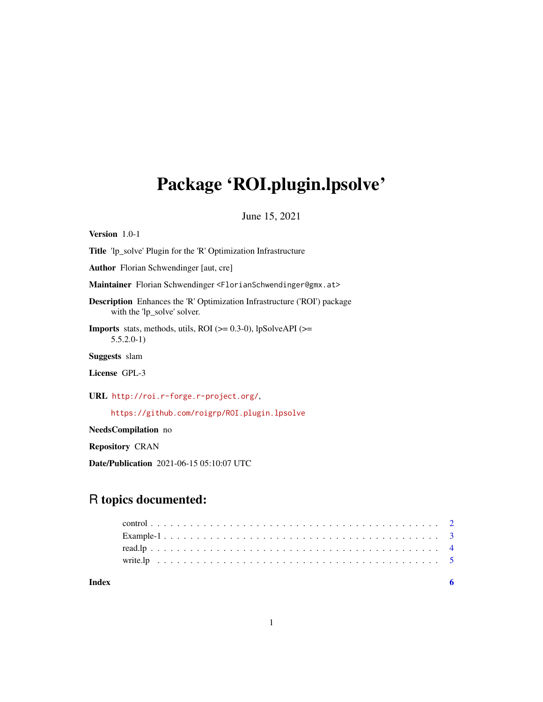# <span id="page-0-0"></span>Package 'ROI.plugin.lpsolve'

June 15, 2021

| <b>Version</b> $1.0-1$                                                                                         |
|----------------------------------------------------------------------------------------------------------------|
| <b>Title</b> 'lp solve' Plugin for the 'R' Optimization Infrastructure                                         |
| <b>Author</b> Florian Schwendinger [aut, cre]                                                                  |
| <b>Maintainer</b> Florian Schwendinger <florianschwendinger@gmx.at></florianschwendinger@gmx.at>               |
| <b>Description</b> Enhances the 'R' Optimization Infrastructure ('ROI') package<br>with the 'lp_solve' solver. |
| <b>Imports</b> stats, methods, utils, ROI ( $> = 0.3-0$ ), lpSolveAPI ( $> =$<br>$5.5.2.0-1)$                  |
| <b>Suggests</b> slam                                                                                           |
| License GPL-3                                                                                                  |
| URL http://roi.r-forge.r-project.org/,                                                                         |
| https://github.com/roigrp/ROI.plugin.lpsolve                                                                   |
| <b>NeedsCompilation</b> no                                                                                     |
| <b>Repository CRAN</b>                                                                                         |

Date/Publication 2021-06-15 05:10:07 UTC

# R topics documented:

| Index |  |  |  |  |  |  |  |  |  |  |  |  |  |  |  |  |  |  |  |  |  |  |
|-------|--|--|--|--|--|--|--|--|--|--|--|--|--|--|--|--|--|--|--|--|--|--|
|       |  |  |  |  |  |  |  |  |  |  |  |  |  |  |  |  |  |  |  |  |  |  |
|       |  |  |  |  |  |  |  |  |  |  |  |  |  |  |  |  |  |  |  |  |  |  |
|       |  |  |  |  |  |  |  |  |  |  |  |  |  |  |  |  |  |  |  |  |  |  |
|       |  |  |  |  |  |  |  |  |  |  |  |  |  |  |  |  |  |  |  |  |  |  |
|       |  |  |  |  |  |  |  |  |  |  |  |  |  |  |  |  |  |  |  |  |  |  |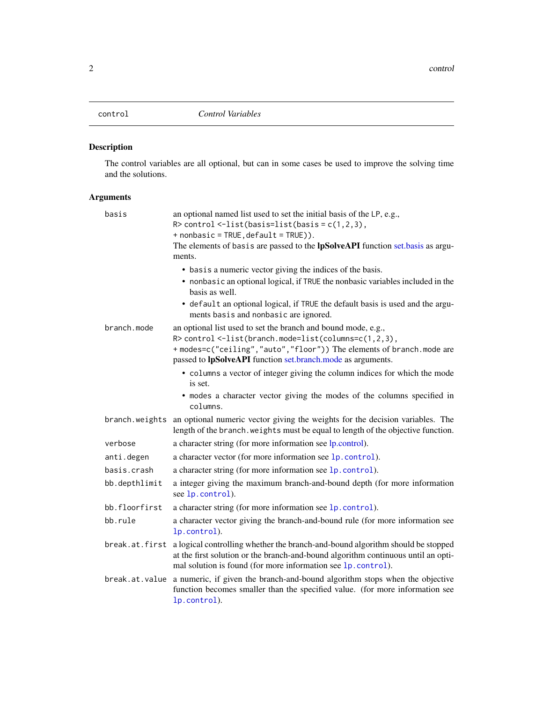<span id="page-1-0"></span>

## Description

The control variables are all optional, but can in some cases be used to improve the solving time and the solutions.

#### Arguments

| basis         | an optional named list used to set the initial basis of the LP, e.g.,<br>$R >$ control <-list(basis=list(basis=c(1,2,3),                                                                                                                            |
|---------------|-----------------------------------------------------------------------------------------------------------------------------------------------------------------------------------------------------------------------------------------------------|
|               | + nonbasic = TRUE, default = TRUE)).                                                                                                                                                                                                                |
|               | The elements of basis are passed to the <b>lpSolveAPI</b> function set basis as argu-                                                                                                                                                               |
|               | ments.                                                                                                                                                                                                                                              |
|               | • basis a numeric vector giving the indices of the basis.                                                                                                                                                                                           |
|               | • nonbasic an optional logical, if TRUE the nonbasic variables included in the<br>basis as well.                                                                                                                                                    |
|               | • default an optional logical, if TRUE the default basis is used and the argu-<br>ments basis and nonbasic are ignored.                                                                                                                             |
| branch.mode   | an optional list used to set the branch and bound mode, e.g.,                                                                                                                                                                                       |
|               | R> control <-list(branch.mode=list(columns=c(1,2,3),                                                                                                                                                                                                |
|               | + modes=c("ceiling","auto","floor")) The elements of branch.mode are<br>passed to <b>lpSolveAPI</b> function set.branch.mode as arguments.                                                                                                          |
|               | • columns a vector of integer giving the column indices for which the mode                                                                                                                                                                          |
|               | is set.                                                                                                                                                                                                                                             |
|               | • modes a character vector giving the modes of the columns specified in<br>columns.                                                                                                                                                                 |
|               | branch.weights an optional numeric vector giving the weights for the decision variables. The<br>length of the branch. weights must be equal to length of the objective function.                                                                    |
| verbose       | a character string (for more information see lp.control).                                                                                                                                                                                           |
| anti.degen    | a character vector (for more information see lp. control).                                                                                                                                                                                          |
| basis.crash   | a character string (for more information see 1p. control).                                                                                                                                                                                          |
| bb.depthlimit | a integer giving the maximum branch-and-bound depth (for more information<br>see lp.control).                                                                                                                                                       |
| bb.floorfirst | a character string (for more information see 1p. control).                                                                                                                                                                                          |
| bb.rule       | a character vector giving the branch-and-bound rule (for more information see<br>lp.control).                                                                                                                                                       |
|               | break.at.first a logical controlling whether the branch-and-bound algorithm should be stopped<br>at the first solution or the branch-and-bound algorithm continuous until an opti-<br>mal solution is found (for more information see 1p. control). |
|               | break.at.value a numeric, if given the branch-and-bound algorithm stops when the objective<br>function becomes smaller than the specified value. (for more information see<br>lp.control).                                                          |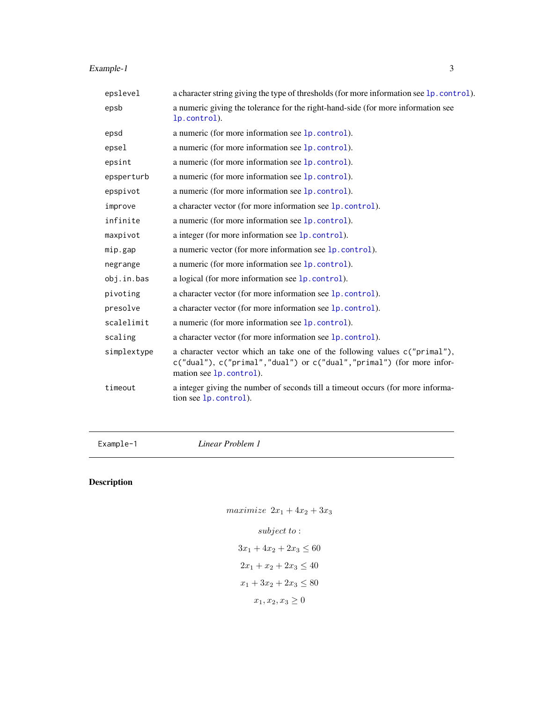## <span id="page-2-0"></span>Example-1 3

| epslevel    | a character string giving the type of thresholds (for more information see 1p. control).                                                                                        |
|-------------|---------------------------------------------------------------------------------------------------------------------------------------------------------------------------------|
| epsb        | a numeric giving the tolerance for the right-hand-side (for more information see<br>lp.control).                                                                                |
| epsd        | a numeric (for more information see 1p. control).                                                                                                                               |
| epsel       | a numeric (for more information see 1p. control).                                                                                                                               |
| epsint      | a numeric (for more information see 1p. control).                                                                                                                               |
| epsperturb  | a numeric (for more information see 1p. control).                                                                                                                               |
| epspivot    | a numeric (for more information see 1p. control).                                                                                                                               |
| improve     | a character vector (for more information see 1p. control).                                                                                                                      |
| infinite    | a numeric (for more information see 1p. control).                                                                                                                               |
| maxpivot    | a integer (for more information see 1p. control).                                                                                                                               |
| mip.gap     | a numeric vector (for more information see lp. control).                                                                                                                        |
| negrange    | a numeric (for more information see 1p. control).                                                                                                                               |
| obj.in.bas  | a logical (for more information see 1p. control).                                                                                                                               |
| pivoting    | a character vector (for more information see 1p. control).                                                                                                                      |
| presolve    | a character vector (for more information see 1p. control).                                                                                                                      |
| scalelimit  | a numeric (for more information see 1p. control).                                                                                                                               |
| scaling     | a character vector (for more information see 1p. control).                                                                                                                      |
| simplextype | a character vector which an take one of the following values c("primal"),<br>c("dual"), c("primal", "dual") or c("dual", "primal") (for more infor-<br>mation see 1p. control). |
| timeout     | a integer giving the number of seconds till a timeout occurs (for more informa-<br>tion see 1p. control).                                                                       |
|             |                                                                                                                                                                                 |

Example-1 *Linear Problem 1*

## Description

| $maximize \ 2x_1 + 4x_2 + 3x_3$ |
|---------------------------------|
| subject to:                     |
| $3x_1 + 4x_2 + 2x_3 \leq 60$    |
| $2x_1 + x_2 + 2x_3 \leq 40$     |
| $x_1 + 3x_2 + 2x_3 \leq 80$     |
| $x_1, x_2, x_3 \geq 0$          |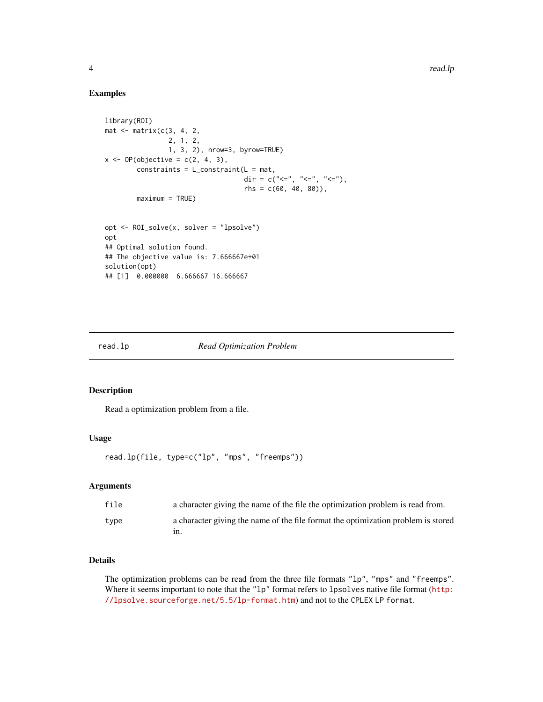#### Examples

```
library(ROI)
mat \leq matrix(c(3, 4, 2,
                 2, 1, 2,
                1, 3, 2), nrow=3, byrow=TRUE)
x \leftarrow OP(objective = c(2, 4, 3),constraints = L_{\text{constraint}}(L = mat,dir = c("<=", "<=", "<="),
                                     rhs = c(60, 40, 80),
        maximum = TRUE)
opt <- ROI_solve(x, solver = "lpsolve")
opt
## Optimal solution found.
## The objective value is: 7.666667e+01
solution(opt)
## [1] 0.000000 6.666667 16.666667
```

```
read.lp Read Optimization Problem
```
#### Description

Read a optimization problem from a file.

#### Usage

read.lp(file, type=c("lp", "mps", "freemps"))

#### Arguments

| file | a character giving the name of the file the optimization problem is read from.           |
|------|------------------------------------------------------------------------------------------|
| type | a character giving the name of the file format the optimization problem is stored<br>in. |

#### Details

The optimization problems can be read from the three file formats "lp", "mps" and "freemps". Where it seems important to note that the "lp" format refers to lpsolves native file format ([http:](http://lpsolve.sourceforge.net/5.5/lp-format.htm) [//lpsolve.sourceforge.net/5.5/lp-format.htm](http://lpsolve.sourceforge.net/5.5/lp-format.htm)) and not to the CPLEX LP format.

<span id="page-3-0"></span>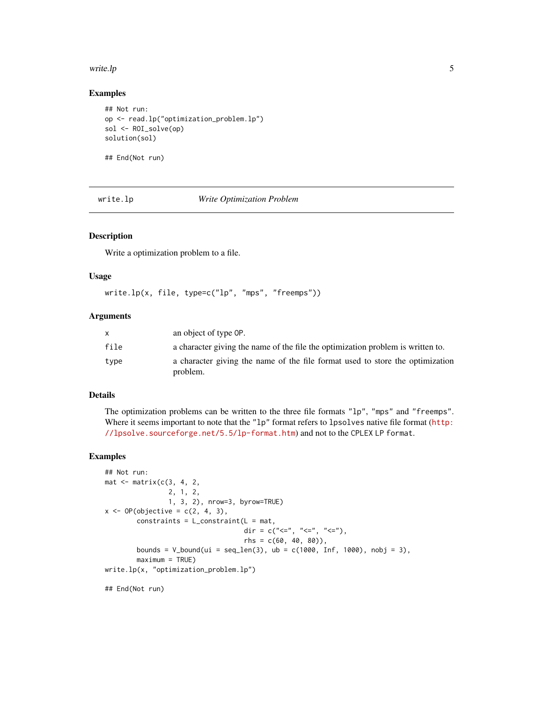#### <span id="page-4-0"></span>write.lp 55.5 to the state of the state of the state of the state of the state of the state of the state of the state of the state of the state of the state of the state of the state of the state of the state of the state

#### Examples

```
## Not run:
op <- read.lp("optimization_problem.lp")
sol <- ROI_solve(op)
solution(sol)
```
## End(Not run)

write.lp *Write Optimization Problem*

#### Description

Write a optimization problem to a file.

#### Usage

write.lp(x, file, type=c("lp", "mps", "freemps"))

#### Arguments

| X    | an object of type OP.                                                                     |
|------|-------------------------------------------------------------------------------------------|
| file | a character giving the name of the file the optimization problem is written to.           |
| type | a character giving the name of the file format used to store the optimization<br>problem. |

#### Details

The optimization problems can be written to the three file formats "lp", "mps" and "freemps". Where it seems important to note that the "lp" format refers to lpsolves native file format ([http:](http://lpsolve.sourceforge.net/5.5/lp-format.htm) [//lpsolve.sourceforge.net/5.5/lp-format.htm](http://lpsolve.sourceforge.net/5.5/lp-format.htm)) and not to the CPLEX LP format.

#### Examples

```
## Not run:
mat < -matrix(c(3, 4, 2,2, 1, 2,
                 1, 3, 2), nrow=3, byrow=TRUE)
x \leftarrow OP(objective = c(2, 4, 3),constraints = L_{\text{constant}}(L = mat,dir = c("<=", "<=", "<="),
                                     rhs = c(60, 40, 80),
        bounds = V_{bound}(ui = seq_{len}(3), ub = c(1000, Inf, 1000), nobj = 3),maximum = TRUE)
write.lp(x, "optimization_problem.lp")
```
## End(Not run)